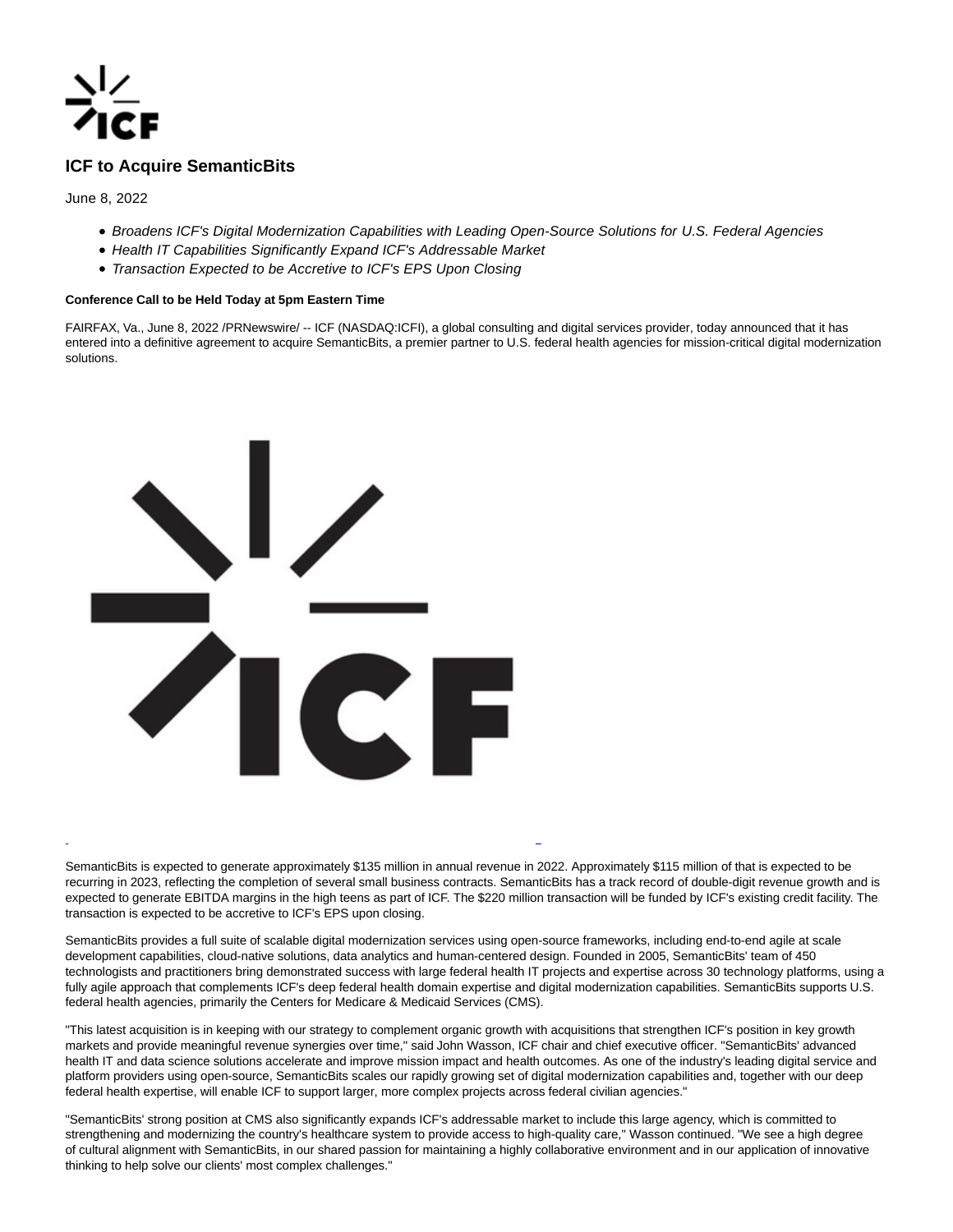

# **ICF to Acquire SemanticBits**

June 8, 2022

- Broadens ICF's Digital Modernization Capabilities with Leading Open-Source Solutions for U.S. Federal Agencies
- Health IT Capabilities Significantly Expand ICF's Addressable Market
- Transaction Expected to be Accretive to ICF's EPS Upon Closing

## **Conference Call to be Held Today at 5pm Eastern Time**

FAIRFAX, Va., June 8, 2022 /PRNewswire/ -- ICF (NASDAQ:ICFI), a global consulting and digital services provider, today announced that it has entered into a definitive agreement to acquire SemanticBits, a premier partner to U.S. federal health agencies for mission-critical digital modernization solutions.



SemanticBits is expected to generate approximately \$135 million in annual revenue in 2022. Approximately \$115 million of that is expected to be recurring in 2023, reflecting the completion of several small business contracts. SemanticBits has a track record of double-digit revenue growth and is expected to generate EBITDA margins in the high teens as part of ICF. The \$220 million transaction will be funded by ICF's existing credit facility. The transaction is expected to be accretive to ICF's EPS upon closing.

L

SemanticBits provides a full suite of scalable digital modernization services using open-source frameworks, including end-to-end agile at scale development capabilities, cloud-native solutions, data analytics and human-centered design. Founded in 2005, SemanticBits' team of 450 technologists and practitioners bring demonstrated success with large federal health IT projects and expertise across 30 technology platforms, using a fully agile approach that complements ICF's deep federal health domain expertise and digital modernization capabilities. SemanticBits supports U.S. federal health agencies, primarily the Centers for Medicare & Medicaid Services (CMS).

"This latest acquisition is in keeping with our strategy to complement organic growth with acquisitions that strengthen ICF's position in key growth markets and provide meaningful revenue synergies over time," said John Wasson, ICF chair and chief executive officer. "SemanticBits' advanced health IT and data science solutions accelerate and improve mission impact and health outcomes. As one of the industry's leading digital service and platform providers using open-source, SemanticBits scales our rapidly growing set of digital modernization capabilities and, together with our deep federal health expertise, will enable ICF to support larger, more complex projects across federal civilian agencies."

"SemanticBits' strong position at CMS also significantly expands ICF's addressable market to include this large agency, which is committed to strengthening and modernizing the country's healthcare system to provide access to high-quality care," Wasson continued. "We see a high degree of cultural alignment with SemanticBits, in our shared passion for maintaining a highly collaborative environment and in our application of innovative thinking to help solve our clients' most complex challenges."